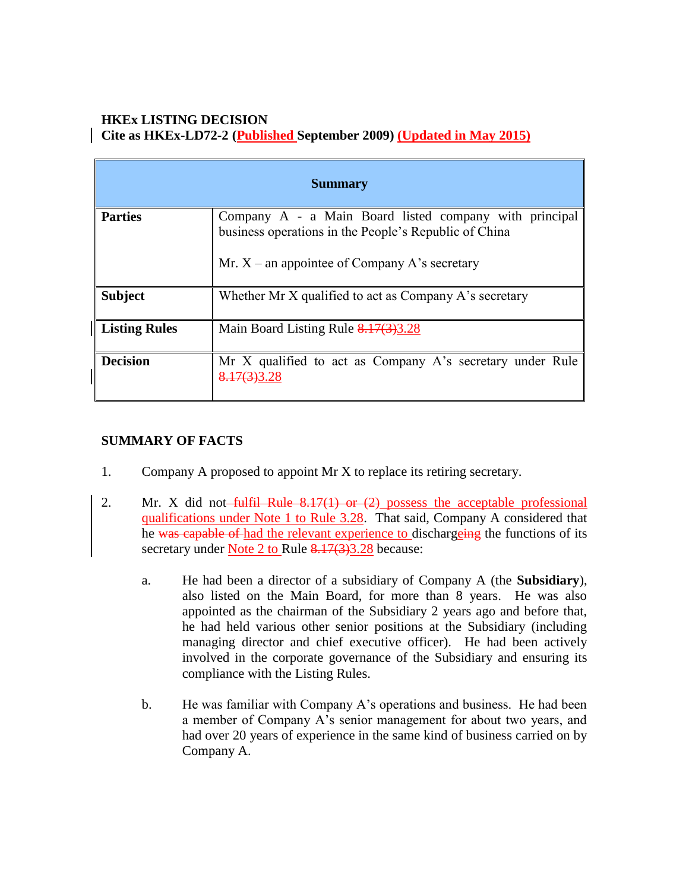# **HKEx LISTING DECISION Cite as HKEx-LD72-2 (Published September 2009) (Updated in May 2015)**

| <b>Summary</b>       |                                                                                                                                                                    |
|----------------------|--------------------------------------------------------------------------------------------------------------------------------------------------------------------|
| <b>Parties</b>       | Company A - a Main Board listed company with principal<br>business operations in the People's Republic of China<br>Mr. $X$ – an appointee of Company A's secretary |
| <b>Subject</b>       | Whether Mr X qualified to act as Company A's secretary                                                                                                             |
| <b>Listing Rules</b> | Main Board Listing Rule $8.17(3)3.28$                                                                                                                              |
| <b>Decision</b>      | Mr X qualified to act as Company A's secretary under Rule<br>8.17(3)3.28                                                                                           |

# **SUMMARY OF FACTS**

- 1. Company A proposed to appoint Mr X to replace its retiring secretary.
- 2. Mr. X did not-fulfil Rule  $8.17(1)$  or  $(2)$  possess the acceptable professional qualifications under Note 1 to Rule 3.28. That said, Company A considered that he was capable of had the relevant experience to dischargeing the functions of its secretary under Note 2 to Rule 8.17(3)3.28 because:
	- a. He had been a director of a subsidiary of Company A (the **Subsidiary**), also listed on the Main Board, for more than 8 years. He was also appointed as the chairman of the Subsidiary 2 years ago and before that, he had held various other senior positions at the Subsidiary (including managing director and chief executive officer). He had been actively involved in the corporate governance of the Subsidiary and ensuring its compliance with the Listing Rules.
	- b. He was familiar with Company A's operations and business. He had been a member of Company A's senior management for about two years, and had over 20 years of experience in the same kind of business carried on by Company A.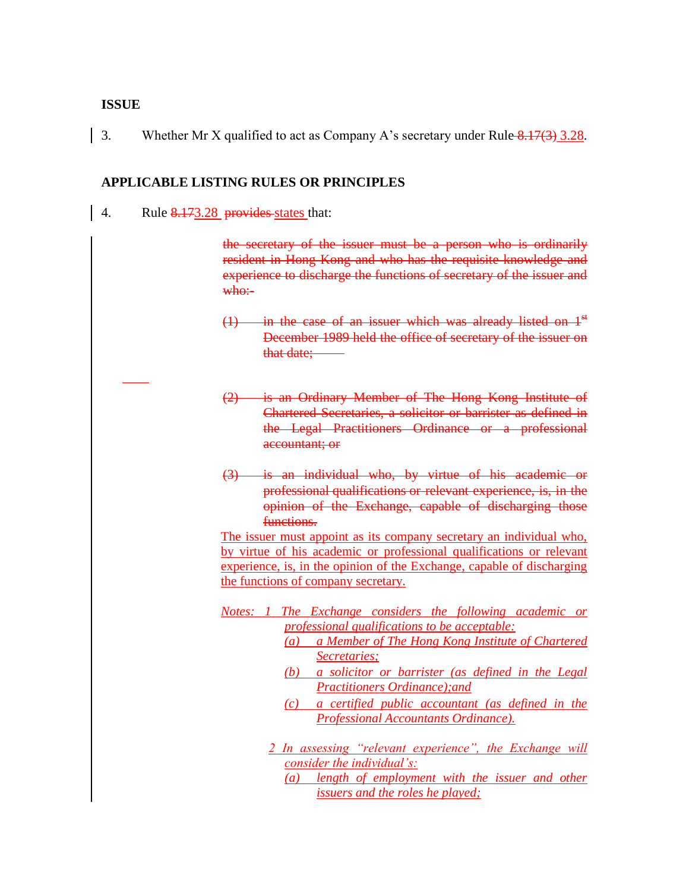#### **ISSUE**

3. Whether Mr X qualified to act as Company A's secretary under Rule  $\frac{8.17(3)}{3.28}$ .

## **APPLICABLE LISTING RULES OR PRINCIPLES**

4. Rule 8.173.28 provides states that:

the secretary of the issuer must be a person who is ordinarily resident in Hong Kong and who has the requisite knowledge and experience to discharge the functions of secretary of the issuer and  $w$ <sub>ho</sub>:

- $(1)$  in the case of an issuer which was already listed on  $1<sup>st</sup>$ December 1989 held the office of secretary of the issuer on that date;
- (2) is an Ordinary Member of The Hong Kong Institute of Chartered Secretaries, a solicitor or barrister as defined in the Legal Practitioners Ordinance or a professional accountant; or
- (3) is an individual who, by virtue of his academic or professional qualifications or relevant experience, is, in the opinion of the Exchange, capable of discharging those functions.

The issuer must appoint as its company secretary an individual who, by virtue of his academic or professional qualifications or relevant experience, is, in the opinion of the Exchange, capable of discharging the functions of company secretary.

- *Notes: 1 The Exchange considers the following academic or professional qualifications to be acceptable:* 
	- *(a) a Member of The Hong Kong Institute of Chartered Secretaries;*
	- *(b) a solicitor or barrister (as defined in the Legal Practitioners Ordinance);and*
	- *(c) a certified public accountant (as defined in the Professional Accountants Ordinance).*
	- *2 In assessing "relevant experience", the Exchange will consider the individual's:* 
		- *(a) length of employment with the issuer and other issuers and the roles he played;*